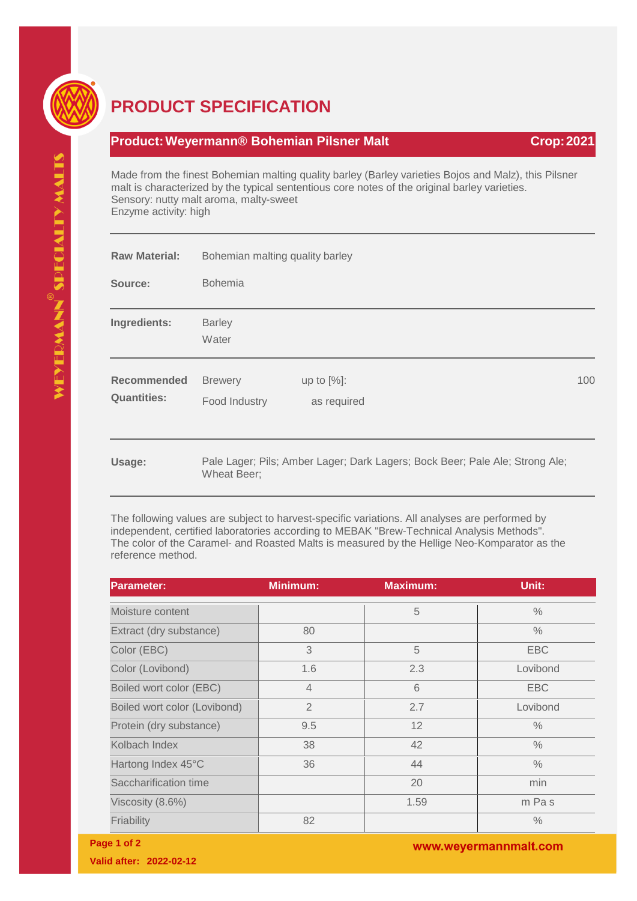

## **PRODUCT SPECIFICATION**

## **Product: Weyermann® Bohemian Pilsner Malt Crop: 2021 Crop: 2021**

Made from the finest Bohemian malting quality barley (Barley varieties Bojos and Malz), this Pilsner malt is characterized by the typical sententious core notes of the original barley varieties. Sensory: nutty malt aroma, malty-sweet Enzyme activity: high

| <b>Raw Material:</b>                     | Bohemian malting quality barley                                                             |                              |     |
|------------------------------------------|---------------------------------------------------------------------------------------------|------------------------------|-----|
| Source:                                  | <b>Bohemia</b>                                                                              |                              |     |
| Ingredients:                             | <b>Barley</b><br>Water                                                                      |                              |     |
| <b>Recommended</b><br><b>Quantities:</b> | <b>Brewery</b><br>Food Industry                                                             | up to $[%]$ :<br>as required | 100 |
| Usage:                                   | Pale Lager; Pils; Amber Lager; Dark Lagers; Bock Beer; Pale Ale; Strong Ale;<br>Wheat Beer; |                              |     |

The following values are subject to harvest-specific variations. All analyses are performed by independent, certified laboratories according to MEBAK "Brew-Technical Analysis Methods". The color of the Caramel- and Roasted Malts is measured by the Hellige Neo-Komparator as the reference method.

| <b>Parameter:</b>            | <b>Minimum:</b> | <b>Maximum:</b> | Unit:         |
|------------------------------|-----------------|-----------------|---------------|
| Moisture content             |                 | 5               | $\frac{0}{0}$ |
| Extract (dry substance)      | 80              |                 | $\frac{0}{0}$ |
| Color (EBC)                  | 3               | 5               | <b>EBC</b>    |
| Color (Lovibond)             | 1.6             | 2.3             | Lovibond      |
| Boiled wort color (EBC)      | $\overline{4}$  | 6               | <b>EBC</b>    |
| Boiled wort color (Lovibond) | $\overline{2}$  | 2.7             | Lovibond      |
| Protein (dry substance)      | 9.5             | 12              | $\frac{0}{0}$ |
| Kolbach Index                | 38              | 42              | $\frac{0}{0}$ |
| Hartong Index 45°C           | 36              | 44              | $\frac{0}{0}$ |
| Saccharification time        |                 | 20              | min           |
| Viscosity (8.6%)             |                 | 1.59            | m Pas         |
| Friability                   | 82              |                 | $\frac{0}{0}$ |

www.weyermannmalt.com

**Page 1 of 2**

**Valid after: 2022-02-12**